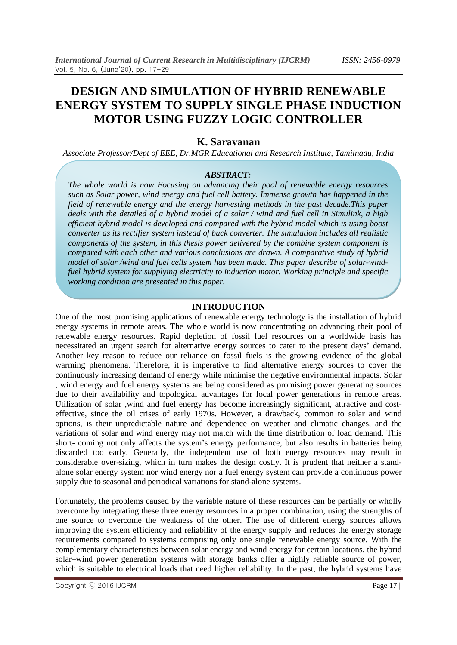# **DESIGN AND SIMULATION OF HYBRID RENEWABLE ENERGY SYSTEM TO SUPPLY SINGLE PHASE INDUCTION MOTOR USING FUZZY LOGIC CONTROLLER**

## **K. Saravanan**

*Associate Professor/Dept of EEE, Dr.MGR Educational and Research Institute, Tamilnadu, India*

#### *ABSTRACT:*

*The whole world is now Focusing on advancing their pool of renewable energy resources such as Solar power, wind energy and fuel cell battery. Immense growth has happened in the field of renewable energy and the energy harvesting methods in the past decade.This paper* deals with the detailed of a hybrid model of a solar / wind and fuel cell in Simulink, a high *efficient hybrid model is developed and compared with the hybrid model which is using boost converter as its rectifier system instead of buck converter. The simulation includes all realistic components of the system, in this thesis power delivered by the combine system component is compared with each other and various conclusions are drawn. A comparative study of hybrid model of solar /wind and fuel cells system has been made. This paper describe of solar-windfuel hybrid system for supplying electricity to induction motor. Working principle and specific working condition are presented in this paper.*

#### **INTRODUCTION**

One of the most promising applications of renewable energy technology is the installation of hybrid energy systems in remote areas. The whole world is now concentrating on advancing their pool of renewable energy resources. Rapid depletion of fossil fuel resources on a worldwide basis has necessitated an urgent search for alternative energy sources to cater to the present days' demand. Another key reason to reduce our reliance on fossil fuels is the growing evidence of the global warming phenomena. Therefore, it is imperative to find alternative energy sources to cover the continuously increasing demand of energy while minimise the negative environmental impacts. Solar , wind energy and fuel energy systems are being considered as promising power generating sources due to their availability and topological advantages for local power generations in remote areas. Utilization of solar ,wind and fuel energy has become increasingly significant, attractive and costeffective, since the oil crises of early 1970s. However, a drawback, common to solar and wind options, is their unpredictable nature and dependence on weather and climatic changes, and the variations of solar and wind energy may not match with the time distribution of load demand. This short- coming not only affects the system"s energy performance, but also results in batteries being discarded too early. Generally, the independent use of both energy resources may result in considerable over-sizing, which in turn makes the design costly. It is prudent that neither a standalone solar energy system nor wind energy nor a fuel energy system can provide a continuous power supply due to seasonal and periodical variations for stand-alone systems.

Fortunately, the problems caused by the variable nature of these resources can be partially or wholly overcome by integrating these three energy resources in a proper combination, using the strengths of one source to overcome the weakness of the other. The use of different energy sources allows improving the system efficiency and reliability of the energy supply and reduces the energy storage requirements compared to systems comprising only one single renewable energy source. With the complementary characteristics between solar energy and wind energy for certain locations, the hybrid solar–wind power generation systems with storage banks offer a highly reliable source of power, which is suitable to electrical loads that need higher reliability. In the past, the hybrid systems have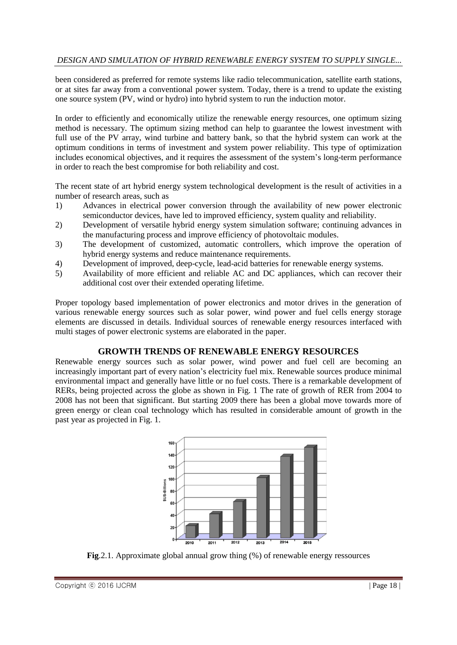been considered as preferred for remote systems like radio telecommunication, satellite earth stations, or at sites far away from a conventional power system. Today, there is a trend to update the existing one source system (PV, wind or hydro) into hybrid system to run the induction motor.

In order to efficiently and economically utilize the renewable energy resources, one optimum sizing method is necessary. The optimum sizing method can help to guarantee the lowest investment with full use of the PV array, wind turbine and battery bank, so that the hybrid system can work at the optimum conditions in terms of investment and system power reliability. This type of optimization includes economical objectives, and it requires the assessment of the system"s long-term performance in order to reach the best compromise for both reliability and cost.

The recent state of art hybrid energy system technological development is the result of activities in a number of research areas, such as

- 1) Advances in electrical power conversion through the availability of new power electronic semiconductor devices, have led to improved efficiency, system quality and reliability.
- 2) Development of versatile hybrid energy system simulation software; continuing advances in the manufacturing process and improve efficiency of photovoltaic modules.
- 3) The development of customized, automatic controllers, which improve the operation of hybrid energy systems and reduce maintenance requirements.
- 4) Development of improved, deep-cycle, lead-acid batteries for renewable energy systems.
- 5) Availability of more efficient and reliable AC and DC appliances, which can recover their additional cost over their extended operating lifetime.

Proper topology based implementation of power electronics and motor drives in the generation of various renewable energy sources such as solar power, wind power and fuel cells energy storage elements are discussed in details. Individual sources of renewable energy resources interfaced with multi stages of power electronic systems are elaborated in the paper.

### **GROWTH TRENDS OF RENEWABLE ENERGY RESOURCES**

Renewable energy sources such as solar power, wind power and fuel cell are becoming an increasingly important part of every nation's electricity fuel mix. Renewable sources produce minimal environmental impact and generally have little or no fuel costs. There is a remarkable development of RERs, being projected across the globe as shown in Fig. 1 The rate of growth of RER from 2004 to 2008 has not been that significant. But starting 2009 there has been a global move towards more of green energy or clean coal technology which has resulted in considerable amount of growth in the past year as projected in Fig. 1.



**Fig**.2.1. Approximate global annual grow thing (%) of renewable energy ressources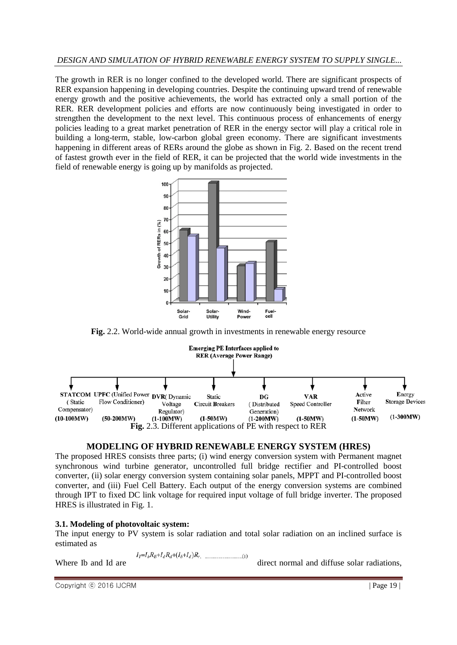The growth in RER is no longer confined to the developed world. There are significant prospects of RER expansion happening in developing countries. Despite the continuing upward trend of renewable energy growth and the positive achievements, the world has extracted only a small portion of the RER. RER development policies and efforts are now continuously being investigated in order to strengthen the development to the next level. This continuous process of enhancements of energy policies leading to a great market penetration of RER in the energy sector will play a critical role in building a long-term, stable, low-carbon global green economy. There are significant investments happening in different areas of RERs around the globe as shown in Fig. 2. Based on the recent trend of fastest growth ever in the field of RER, it can be projected that the world wide investments in the field of renewable energy is going up by manifolds as projected.



**Fig.** 2.2. World-wide annual growth in investments in renewable energy resource



### **MODELING OF HYBRID RENEWABLE ENERGY SYSTEM (HRES)**

The proposed HRES consists three parts; (i) wind energy conversion system with Permanent magnet synchronous wind turbine generator, uncontrolled full bridge rectifier and PI-controlled boost converter, (ii) solar energy conversion system containing solar panels, MPPT and PI-controlled boost converter, and (iii) Fuel Cell Battery. Each output of the energy conversion systems are combined through IPT to fixed DC link voltage for required input voltage of full bridge inverter. The proposed HRES is illustrated in Fig. 1.

#### **3.1. Modeling of photovoltaic system:**

The input energy to PV system is solar radiation and total solar radiation on an inclined surface is estimated as

> $I_T = I_b R_B + I_d R_d + (I_b + I_d) R_r$  $(1)$

Where Ib and Id are direct normal and diffuse solar radiations,

Copyright ⓒ 2016 IJCRM  $\blacksquare$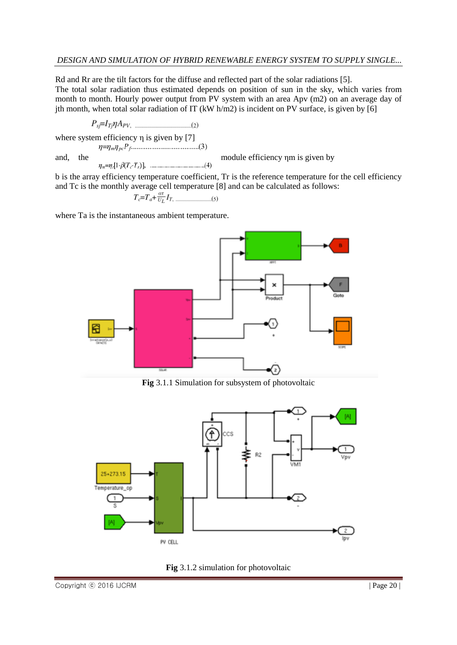Rd and Rr are the tilt factors for the diffuse and reflected part of the solar radiations [5]. The total solar radiation thus estimated depends on position of sun in the sky, which varies from month to month. Hourly power output from PV system with an area Apv (m2) on an average day of jth month, when total solar radiation of IT (kW h/m2) is incident on PV surface, is given by [6]

$$
P_{sj} = I_{Tj} \eta A_{PV}
$$
 (2)

where system efficiency η is given by [7]

and, the module efficiency ηm is given by

b is the array efficiency temperature coefficient, Tr is the reference temperature for the cell efficiency and Tc is the monthly average cell temperature [8] and can be calculated as follows:

$$
T_c = T_a + \frac{at}{U_L} I_T, \qquad (5)
$$

where Ta is the instantaneous ambient temperature.



**Fig** 3.1.1 Simulation for subsystem of photovoltaic



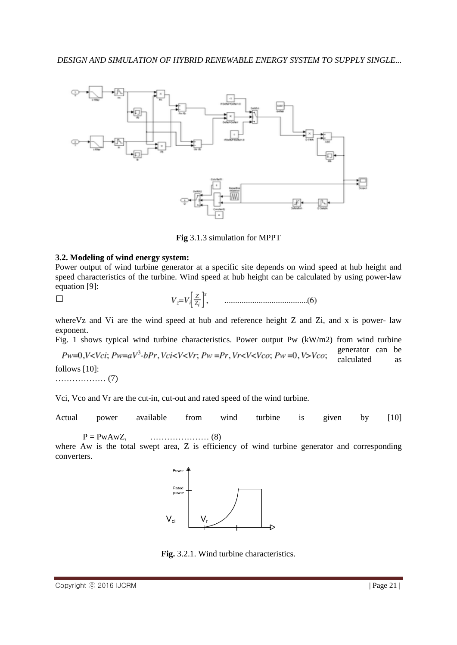

**Fig** 3.1.3 simulation for MPPT

## **3.2. Modeling of wind energy system:**

Power output of wind turbine generator at a specific site depends on wind speed at hub height and speed characteristics of the turbine. Wind speed at hub height can be calculated by using power-law equation [9]:

where Vz and Vi are the wind speed at hub and reference height Z and Zi, and x is power- law exponent.

Fig. 1 shows typical wind turbine characteristics. Power output Pw (kW/m2) from wind turbine generator can be  $Pw=0, V\lt Vci$ ;  $Pw=aV^3-bPr$ ,  $Vci\lt V\lt Vr$ ;  $Pw=Pr$ ,  $Vr\lt V\lt Vco$ ;  $Pw=0, V\gt Vco$ ; calculated as follows [10]:

……………… (7)

 $\Box$ 

Vci, Vco and Vr are the cut-in, cut-out and rated speed of the wind turbine.

Actual power available from wind turbine is given by [10]

P = PwAwZ, ………………… (8) where Aw is the total swept area, Z is efficiency of wind turbine generator and corresponding converters.



**Fig.** 3.2.1. Wind turbine characteristics.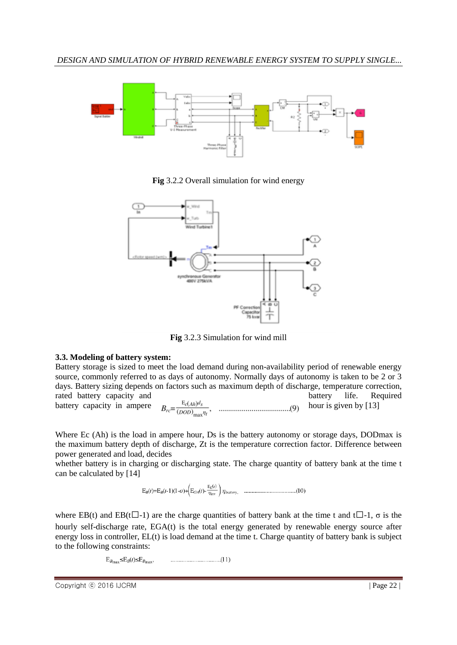

**Fig** 3.2.2 Overall simulation for wind energy



**Fig** 3.2.3 Simulation for wind mill

### **3.3. Modeling of battery system:**

Battery storage is sized to meet the load demand during non-availability period of renewable energy source, commonly referred to as days of autonomy. Normally days of autonomy is taken to be 2 or 3 days. Battery sizing depends on factors such as maximum depth of discharge, temperature correction, rated battery capacity and battery life. Required battery capacity in ampere hour is given by [13]

Where Ec (Ah) is the load in ampere hour, Ds is the battery autonomy or storage days, DODmax is the maximum battery depth of discharge, Zt is the temperature correction factor. Difference between power generated and load, decides

whether battery is in charging or discharging state. The charge quantity of battery bank at the time t can be calculated by [14]

$$
\mathrm{E}_\mathcal{B}(t)=\mathrm{E}_\mathcal{B}(t-1)(1-\sigma)+\left(\mathrm{E}_{G A}(t)-\frac{\mathrm{E}_L(\sigma)}{\eta_{\text{inv}}}\right)\eta_{\text{batery},\quad\ldots\ldots\ldots\ldots\ldots\ldots\ldots\ldots\ldots\ldots\ldots}(10)
$$

where EB(t) and EB(t $\square$ -1) are the charge quantities of battery bank at the time t and t $\square$ -1,  $\sigma$  is the hourly self-discharge rate, EGA(t) is the total energy generated by renewable energy source after energy loss in controller, EL(t) is load demand at the time t. Charge quantity of battery bank is subject to the following constraints:

> $E_{B_{\text{max}}} \le E_B(t) \le E_{B_{\text{max}}}$

Copyright ⓒ 2016 IJCRM  $\qquad \qquad$  Page 22 |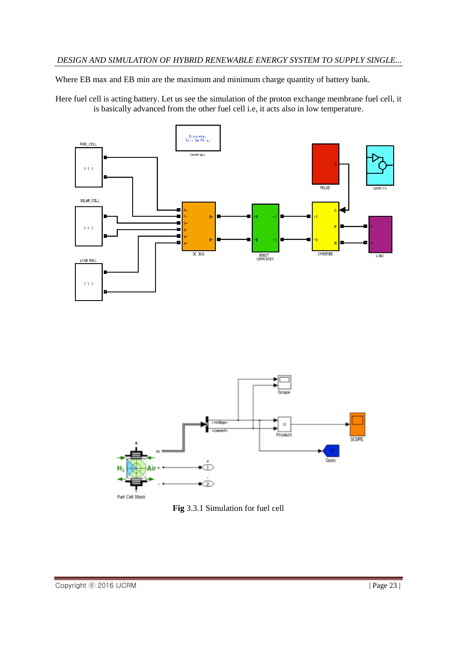Where EB max and EB min are the maximum and minimum charge quantity of battery bank.

Here fuel cell is acting battery. Let us see the simulation of the proton exchange membrane fuel cell, it is basically advanced from the other fuel cell i.e, it acts also in low temperature.





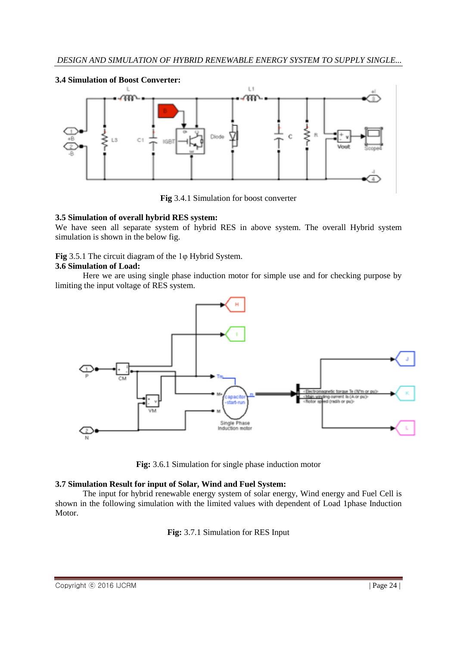

**Fig** 3.4.1 Simulation for boost converter

## **3.5 Simulation of overall hybrid RES system:**

We have seen all separate system of hybrid RES in above system. The overall Hybrid system simulation is shown in the below fig.

**Fig** 3.5.1 The circuit diagram of the 1φ Hybrid System.

#### **3.6 Simulation of Load:**

Here we are using single phase induction motor for simple use and for checking purpose by limiting the input voltage of RES system.



**Fig:** 3.6.1 Simulation for single phase induction motor

#### **3.7 Simulation Result for input of Solar, Wind and Fuel System:**

The input for hybrid renewable energy system of solar energy, Wind energy and Fuel Cell is shown in the following simulation with the limited values with dependent of Load 1phase Induction Motor.

**Fig:** 3.7.1 Simulation for RES Input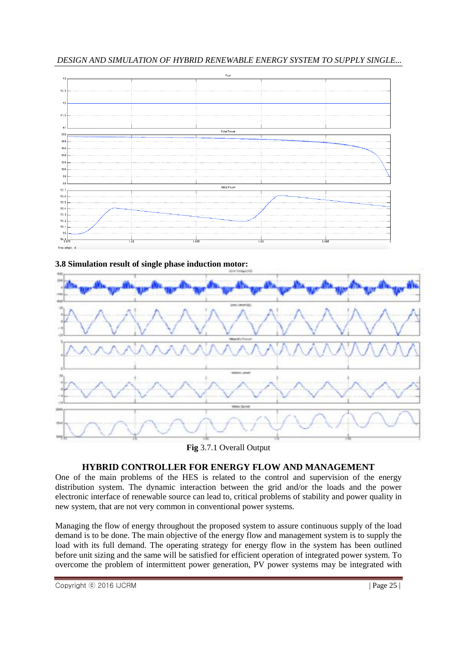







**Fig** 3.7.1 Overall Output

## **HYBRID CONTROLLER FOR ENERGY FLOW AND MANAGEMENT**

One of the main problems of the HES is related to the control and supervision of the energy distribution system. The dynamic interaction between the grid and/or the loads and the power electronic interface of renewable source can lead to, critical problems of stability and power quality in new system, that are not very common in conventional power systems.

Managing the flow of energy throughout the proposed system to assure continuous supply of the load demand is to be done. The main objective of the energy flow and management system is to supply the load with its full demand. The operating strategy for energy flow in the system has been outlined before unit sizing and the same will be satisfied for efficient operation of integrated power system. To overcome the problem of intermittent power generation, PV power systems may be integrated with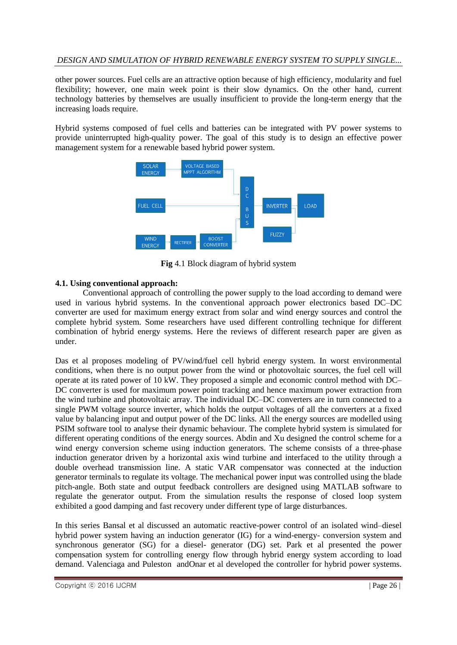other power sources. Fuel cells are an attractive option because of high efficiency, modularity and fuel flexibility; however, one main week point is their slow dynamics. On the other hand, current technology batteries by themselves are usually insufficient to provide the long-term energy that the increasing loads require.

Hybrid systems composed of fuel cells and batteries can be integrated with PV power systems to provide uninterrupted high-quality power. The goal of this study is to design an effective power management system for a renewable based hybrid power system.



**Fig** 4.1 Block diagram of hybrid system

### **4.1. Using conventional approach:**

Conventional approach of controlling the power supply to the load according to demand were used in various hybrid systems. In the conventional approach power electronics based DC–DC converter are used for maximum energy extract from solar and wind energy sources and control the complete hybrid system. Some researchers have used different controlling technique for different combination of hybrid energy systems. Here the reviews of different research paper are given as under.

Das et al proposes modeling of PV/wind/fuel cell hybrid energy system. In worst environmental conditions, when there is no output power from the wind or photovoltaic sources, the fuel cell will operate at its rated power of 10 kW. They proposed a simple and economic control method with DC– DC converter is used for maximum power point tracking and hence maximum power extraction from the wind turbine and photovoltaic array. The individual DC–DC converters are in turn connected to a single PWM voltage source inverter, which holds the output voltages of all the converters at a fixed value by balancing input and output power of the DC links. All the energy sources are modelled using PSIM software tool to analyse their dynamic behaviour. The complete hybrid system is simulated for different operating conditions of the energy sources. Abdin and Xu designed the control scheme for a wind energy conversion scheme using induction generators. The scheme consists of a three-phase induction generator driven by a horizontal axis wind turbine and interfaced to the utility through a double overhead transmission line. A static VAR compensator was connected at the induction generator terminals to regulate its voltage. The mechanical power input was controlled using the blade pitch-angle. Both state and output feedback controllers are designed using MATLAB software to regulate the generator output. From the simulation results the response of closed loop system exhibited a good damping and fast recovery under different type of large disturbances.

In this series Bansal et al discussed an automatic reactive-power control of an isolated wind–diesel hybrid power system having an induction generator (IG) for a wind-energy- conversion system and synchronous generator (SG) for a diesel- generator (DG) set. Park et al presented the power compensation system for controlling energy flow through hybrid energy system according to load demand. Valenciaga and Puleston andOnar et al developed the controller for hybrid power systems.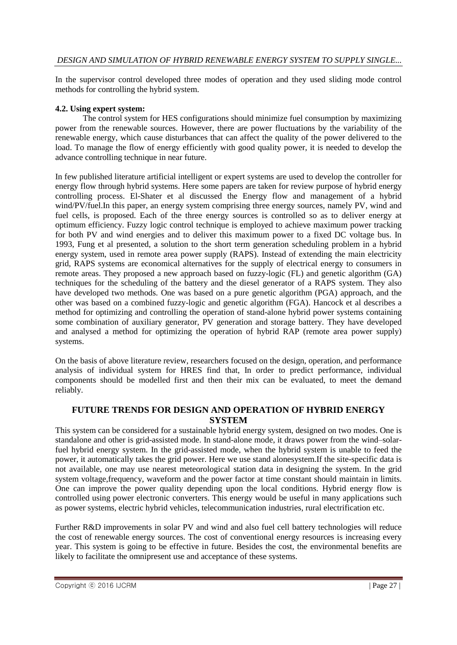In the supervisor control developed three modes of operation and they used sliding mode control methods for controlling the hybrid system.

## **4.2. Using expert system:**

The control system for HES configurations should minimize fuel consumption by maximizing power from the renewable sources. However, there are power fluctuations by the variability of the renewable energy, which cause disturbances that can affect the quality of the power delivered to the load. To manage the flow of energy efficiently with good quality power, it is needed to develop the advance controlling technique in near future.

In few published literature artificial intelligent or expert systems are used to develop the controller for energy flow through hybrid systems. Here some papers are taken for review purpose of hybrid energy controlling process. El-Shater et al discussed the Energy flow and management of a hybrid wind/PV/fuel.In this paper, an energy system comprising three energy sources, namely PV, wind and fuel cells, is proposed. Each of the three energy sources is controlled so as to deliver energy at optimum efficiency. Fuzzy logic control technique is employed to achieve maximum power tracking for both PV and wind energies and to deliver this maximum power to a fixed DC voltage bus. In 1993, Fung et al presented, a solution to the short term generation scheduling problem in a hybrid energy system, used in remote area power supply (RAPS). Instead of extending the main electricity grid, RAPS systems are economical alternatives for the supply of electrical energy to consumers in remote areas. They proposed a new approach based on fuzzy-logic (FL) and genetic algorithm (GA) techniques for the scheduling of the battery and the diesel generator of a RAPS system. They also have developed two methods. One was based on a pure genetic algorithm (PGA) approach, and the other was based on a combined fuzzy-logic and genetic algorithm (FGA). Hancock et al describes a method for optimizing and controlling the operation of stand-alone hybrid power systems containing some combination of auxiliary generator, PV generation and storage battery. They have developed and analysed a method for optimizing the operation of hybrid RAP (remote area power supply) systems.

On the basis of above literature review, researchers focused on the design, operation, and performance analysis of individual system for HRES find that, In order to predict performance, individual components should be modelled first and then their mix can be evaluated, to meet the demand reliably.

## **FUTURE TRENDS FOR DESIGN AND OPERATION OF HYBRID ENERGY SYSTEM**

This system can be considered for a sustainable hybrid energy system, designed on two modes. One is standalone and other is grid-assisted mode. In stand-alone mode, it draws power from the wind–solarfuel hybrid energy system. In the grid-assisted mode, when the hybrid system is unable to feed the power, it automatically takes the grid power. Here we use stand alonesystem.If the site-specific data is not available, one may use nearest meteorological station data in designing the system. In the grid system voltage,frequency, waveform and the power factor at time constant should maintain in limits. One can improve the power quality depending upon the local conditions. Hybrid energy flow is controlled using power electronic converters. This energy would be useful in many applications such as power systems, electric hybrid vehicles, telecommunication industries, rural electrification etc.

Further R&D improvements in solar PV and wind and also fuel cell battery technologies will reduce the cost of renewable energy sources. The cost of conventional energy resources is increasing every year. This system is going to be effective in future. Besides the cost, the environmental benefits are likely to facilitate the omnipresent use and acceptance of these systems.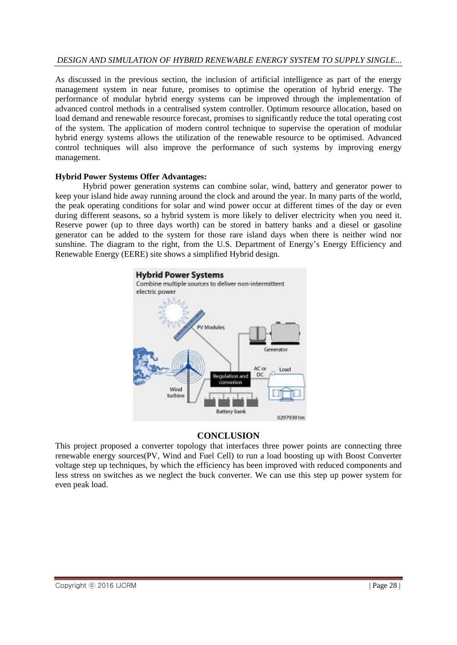As discussed in the previous section, the inclusion of artificial intelligence as part of the energy management system in near future, promises to optimise the operation of hybrid energy. The performance of modular hybrid energy systems can be improved through the implementation of advanced control methods in a centralised system controller. Optimum resource allocation, based on load demand and renewable resource forecast, promises to significantly reduce the total operating cost of the system. The application of modern control technique to supervise the operation of modular hybrid energy systems allows the utilization of the renewable resource to be optimised. Advanced control techniques will also improve the performance of such systems by improving energy management.

#### **Hybrid Power Systems Offer Advantages:**

Hybrid power generation systems can combine solar, wind, battery and generator power to keep your island hide away running around the clock and around the year. In many parts of the world, the peak operating conditions for solar and wind power occur at different times of the day or even during different seasons, so a hybrid system is more likely to deliver electricity when you need it. Reserve power (up to three days worth) can be stored in battery banks and a diesel or gasoline generator can be added to the system for those rare island days when there is neither wind nor sunshine. The diagram to the right, from the U.S. Department of Energy's Energy Efficiency and Renewable Energy (EERE) site shows a simplified Hybrid design.



## **CONCLUSION**

This project proposed a converter topology that interfaces three power points are connecting three renewable energy sources(PV, Wind and Fuel Cell) to run a load boosting up with Boost Converter voltage step up techniques, by which the efficiency has been improved with reduced components and less stress on switches as we neglect the buck converter. We can use this step up power system for even peak load.